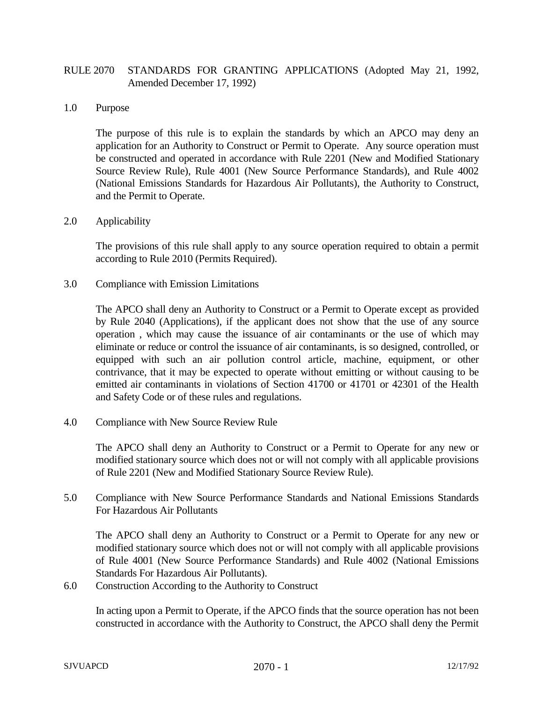## RULE 2070 STANDARDS FOR GRANTING APPLICATIONS (Adopted May 21, 1992, Amended December 17, 1992)

## 1.0 Purpose

The purpose of this rule is to explain the standards by which an APCO may deny an application for an Authority to Construct or Permit to Operate. Any source operation must be constructed and operated in accordance with Rule 2201 (New and Modified Stationary Source Review Rule), Rule 4001 (New Source Performance Standards), and Rule 4002 (National Emissions Standards for Hazardous Air Pollutants), the Authority to Construct, and the Permit to Operate.

## 2.0 Applicability

The provisions of this rule shall apply to any source operation required to obtain a permit according to Rule 2010 (Permits Required).

3.0 Compliance with Emission Limitations

The APCO shall deny an Authority to Construct or a Permit to Operate except as provided by Rule 2040 (Applications), if the applicant does not show that the use of any source operation , which may cause the issuance of air contaminants or the use of which may eliminate or reduce or control the issuance of air contaminants, is so designed, controlled, or equipped with such an air pollution control article, machine, equipment, or other contrivance, that it may be expected to operate without emitting or without causing to be emitted air contaminants in violations of Section 41700 or 41701 or 42301 of the Health and Safety Code or of these rules and regulations.

4.0 Compliance with New Source Review Rule

The APCO shall deny an Authority to Construct or a Permit to Operate for any new or modified stationary source which does not or will not comply with all applicable provisions of Rule 2201 (New and Modified Stationary Source Review Rule).

5.0 Compliance with New Source Performance Standards and National Emissions Standards For Hazardous Air Pollutants

The APCO shall deny an Authority to Construct or a Permit to Operate for any new or modified stationary source which does not or will not comply with all applicable provisions of Rule 4001 (New Source Performance Standards) and Rule 4002 (National Emissions Standards For Hazardous Air Pollutants).

6.0 Construction According to the Authority to Construct

In acting upon a Permit to Operate, if the APCO finds that the source operation has not been constructed in accordance with the Authority to Construct, the APCO shall deny the Permit